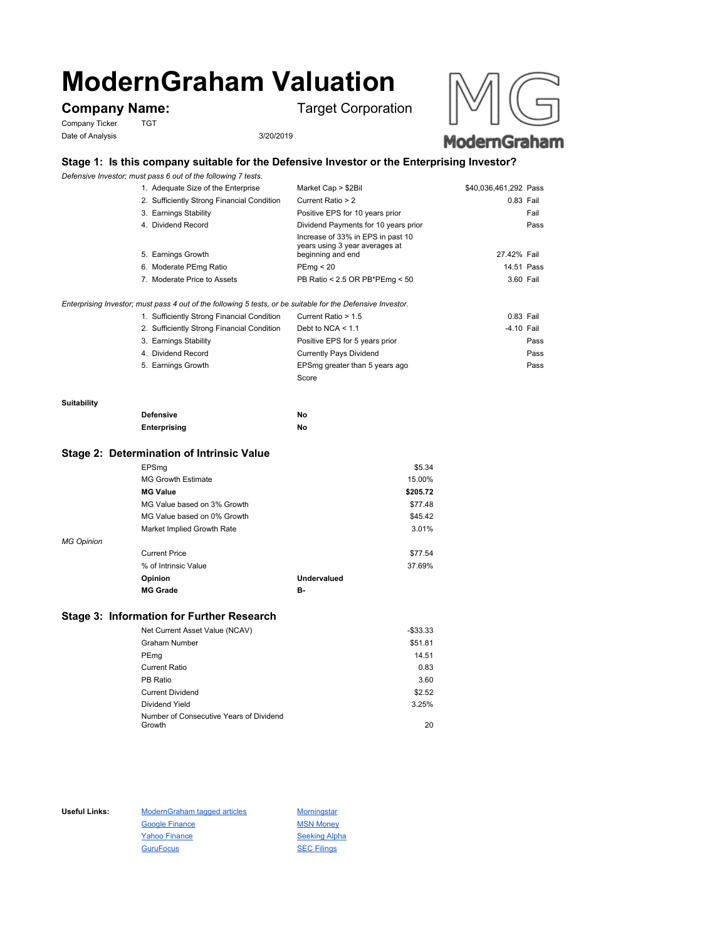# **ModernGraham Valuation**

Company Ticker TGT Date of Analysis 3/20/2019

**Company Name:** Target Corporation



## **Stage 1: Is this company suitable for the Defensive Investor or the Enterprising Investor?**

*Defensive Investor; must pass 6 out of the following 7 tests.*

| 1. Adequate Size of the Enterprise         | Market Cap > \$2Bil                                                                      | \$40,036,461,292 Pass |      |
|--------------------------------------------|------------------------------------------------------------------------------------------|-----------------------|------|
| 2. Sufficiently Strong Financial Condition | Current Ratio > 2                                                                        | 0.83 Fail             |      |
| 3. Earnings Stability                      | Positive EPS for 10 years prior                                                          |                       | Fail |
| 4. Dividend Record                         | Dividend Payments for 10 years prior                                                     |                       | Pass |
| 5. Earnings Growth                         | Increase of 33% in EPS in past 10<br>years using 3 year averages at<br>beginning and end | 27.42% Fail           |      |
| 6. Moderate PEmg Ratio                     | PEmg < 20                                                                                | 14.51 Pass            |      |
| 7. Moderate Price to Assets                | PB Ratio < 2.5 OR PB*PEmg < 50                                                           | 3.60 Fail             |      |
|                                            |                                                                                          |                       |      |

*Enterprising Investor; must pass 4 out of the following 5 tests, or be suitable for the Defensive Investor.*

| 1. Sufficiently Strong Financial Condition | Current Ratio > 1.5            | 0.83 Fail  |      |
|--------------------------------------------|--------------------------------|------------|------|
| 2. Sufficiently Strong Financial Condition | Debt to NCA $<$ 1.1            | -4.10 Fail |      |
| 3. Earnings Stability                      | Positive EPS for 5 years prior |            | Pass |
| 4. Dividend Record                         | <b>Currently Pays Dividend</b> |            | Pass |
| 5. Earnings Growth                         | EPSmg greater than 5 years ago |            | Pass |
|                                            | Score                          |            |      |

#### **Suitability**

| <b>Defensive</b> | No |
|------------------|----|
| Enterprising     | No |

#### **Stage 2: Determination of Intrinsic Value**

|                   | EPSmg                       |             | \$5.34   |
|-------------------|-----------------------------|-------------|----------|
|                   | <b>MG Growth Estimate</b>   |             | 15.00%   |
|                   | <b>MG Value</b>             |             | \$205.72 |
|                   | MG Value based on 3% Growth |             | \$77.48  |
|                   | MG Value based on 0% Growth |             | \$45.42  |
|                   | Market Implied Growth Rate  |             | 3.01%    |
| <b>MG Opinion</b> |                             |             |          |
|                   | <b>Current Price</b>        |             | \$77.54  |
|                   | % of Intrinsic Value        |             | 37.69%   |
|                   | Opinion                     | Undervalued |          |
|                   | <b>MG Grade</b>             | в.          |          |
|                   |                             |             |          |

### **Stage 3: Information for Further Research**

| Net Current Asset Value (NCAV)          | $-$33.33$ |
|-----------------------------------------|-----------|
| Graham Number                           | \$51.81   |
| PEmg                                    | 14.51     |
| Current Ratio                           | 0.83      |
| PB Ratio                                | 3.60      |
| <b>Current Dividend</b>                 | \$2.52    |
| Dividend Yield                          | 3.25%     |
| Number of Consecutive Years of Dividend |           |
| Growth                                  | 20        |

Useful Links: ModernGraham tagged articles Morningstar Google Finance MSN Money Yahoo Finance Seeking Alpha GuruFocus SEC Filings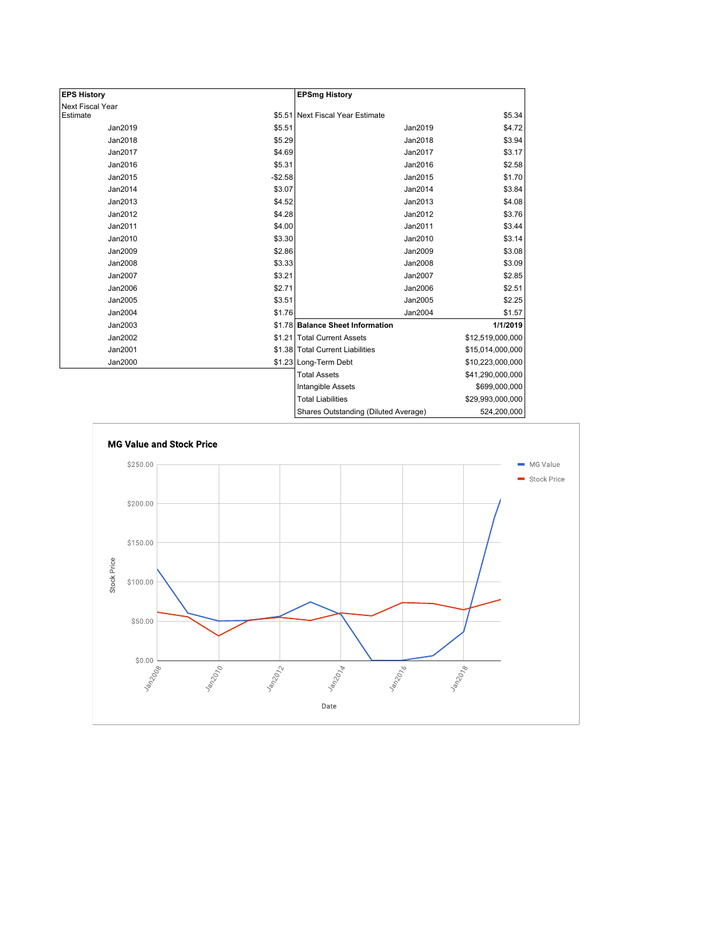| <b>EPS History</b>      |          | <b>EPSmg History</b>                 |                  |
|-------------------------|----------|--------------------------------------|------------------|
| <b>Next Fiscal Year</b> |          |                                      |                  |
| Estimate                |          | \$5.51 Next Fiscal Year Estimate     | \$5.34           |
| Jan2019                 | \$5.51   | Jan2019                              | \$4.72           |
| Jan2018                 | \$5.29   | Jan2018                              | \$3.94           |
| Jan2017                 | \$4.69   | Jan2017                              | \$3.17           |
| Jan2016                 | \$5.31   | Jan2016                              | \$2.58           |
| Jan2015                 | $-$2.58$ | Jan2015                              | \$1.70           |
| Jan2014                 | \$3.07   | Jan2014                              | \$3.84           |
| Jan2013                 | \$4.52   | Jan2013                              | \$4.08           |
| Jan2012                 | \$4.28   | Jan2012                              | \$3.76           |
| Jan2011                 | \$4.00   | Jan2011                              | \$3.44           |
| Jan2010                 | \$3.30   | Jan2010                              | \$3.14           |
| Jan2009                 | \$2.86   | Jan2009                              | \$3.08           |
| Jan2008                 | \$3.33   | Jan2008                              | \$3.09           |
| Jan2007                 | \$3.21   | Jan2007                              | \$2.85           |
| Jan2006                 | \$2.71   | Jan2006                              | \$2.51           |
| Jan2005                 | \$3.51   | Jan2005                              | \$2.25           |
| Jan2004                 | \$1.76   | Jan2004                              | \$1.57           |
| Jan2003                 |          | \$1.78 Balance Sheet Information     | 1/1/2019         |
| Jan2002                 |          | \$1.21 Total Current Assets          | \$12,519,000,000 |
| Jan2001                 |          | \$1.38 Total Current Liabilities     | \$15,014,000,000 |
| Jan2000                 |          | \$1.23 Long-Term Debt                | \$10,223,000,000 |
|                         |          | <b>Total Assets</b>                  | \$41,290,000,000 |
|                         |          | Intangible Assets                    | \$699,000,000    |
|                         |          | <b>Total Liabilities</b>             | \$29,993,000,000 |
|                         |          | Shares Outstanding (Diluted Average) | 524,200,000      |